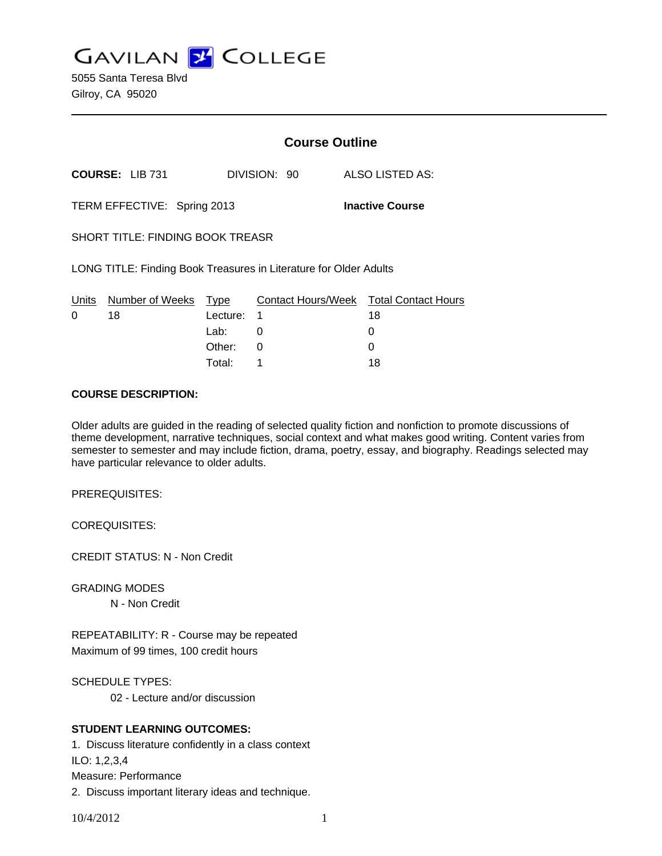**GAVILAN Z COLLEGE** 

5055 Santa Teresa Blvd Gilroy, CA 95020

|                                                                   |                        | <b>Course Outline</b> |              |                                        |
|-------------------------------------------------------------------|------------------------|-----------------------|--------------|----------------------------------------|
|                                                                   | <b>COURSE: LIB 731</b> |                       | DIVISION: 90 | ALSO LISTED AS:                        |
| TERM EFFECTIVE: Spring 2013                                       |                        |                       |              | <b>Inactive Course</b>                 |
| <b>SHORT TITLE: FINDING BOOK TREASR</b>                           |                        |                       |              |                                        |
| LONG TITLE: Finding Book Treasures in Literature for Older Adults |                        |                       |              |                                        |
| Units                                                             | Number of Weeks        | Type                  |              | Contact Hours/Week Total Contact Hours |
| $\Omega$                                                          | 18                     | Lecture:              | 1            | 18                                     |
|                                                                   |                        | Lab:                  | 0            | 0                                      |
|                                                                   |                        | Other:                | 0            |                                        |

Total: 1 18

### **COURSE DESCRIPTION:**

Older adults are guided in the reading of selected quality fiction and nonfiction to promote discussions of theme development, narrative techniques, social context and what makes good writing. Content varies from semester to semester and may include fiction, drama, poetry, essay, and biography. Readings selected may have particular relevance to older adults.

PREREQUISITES:

COREQUISITES:

CREDIT STATUS: N - Non Credit

GRADING MODES

N - Non Credit

REPEATABILITY: R - Course may be repeated Maximum of 99 times, 100 credit hours

SCHEDULE TYPES:

02 - Lecture and/or discussion

## **STUDENT LEARNING OUTCOMES:**

1. Discuss literature confidently in a class context ILO: 1,2,3,4 Measure: Performance 2. Discuss important literary ideas and technique.

10/4/2012 1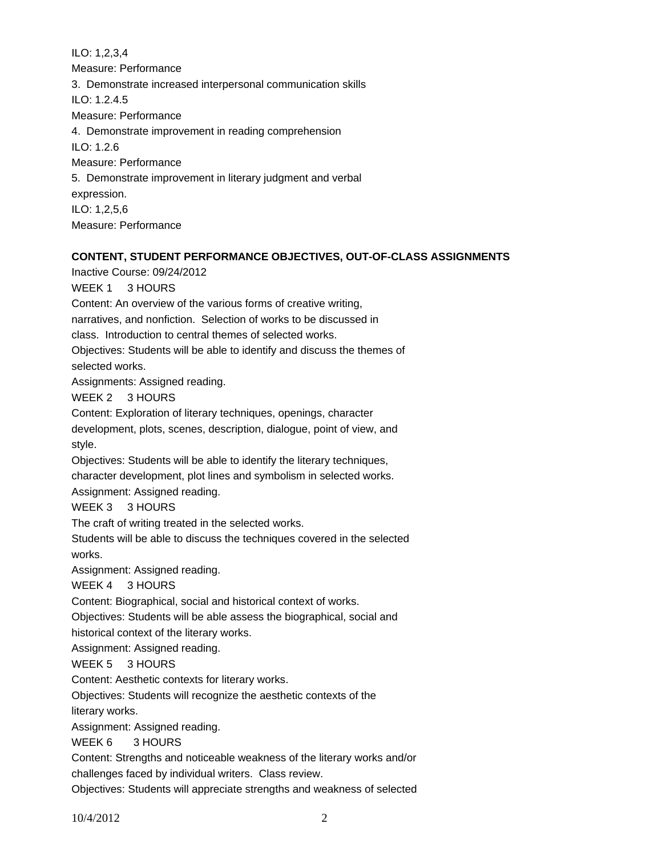ILO: 1,2,3,4 Measure: Performance 3. Demonstrate increased interpersonal communication skills ILO: 1.2.4.5 Measure: Performance 4. Demonstrate improvement in reading comprehension ILO: 1.2.6 Measure: Performance 5. Demonstrate improvement in literary judgment and verbal expression. ILO: 1,2,5,6 Measure: Performance

## **CONTENT, STUDENT PERFORMANCE OBJECTIVES, OUT-OF-CLASS ASSIGNMENTS**

Inactive Course: 09/24/2012

WEEK 1 3 HOURS

Content: An overview of the various forms of creative writing,

narratives, and nonfiction. Selection of works to be discussed in

class. Introduction to central themes of selected works.

Objectives: Students will be able to identify and discuss the themes of

selected works.

Assignments: Assigned reading.

WEEK 2 3 HOURS

Content: Exploration of literary techniques, openings, character

development, plots, scenes, description, dialogue, point of view, and style.

Objectives: Students will be able to identify the literary techniques,

character development, plot lines and symbolism in selected works.

Assignment: Assigned reading.

WEEK 3 3 HOURS

The craft of writing treated in the selected works.

Students will be able to discuss the techniques covered in the selected works.

Assignment: Assigned reading.

WEEK 4 3 HOURS

Content: Biographical, social and historical context of works.

Objectives: Students will be able assess the biographical, social and

historical context of the literary works.

Assignment: Assigned reading.

WEEK 5 3 HOURS

Content: Aesthetic contexts for literary works.

Objectives: Students will recognize the aesthetic contexts of the

literary works.

Assignment: Assigned reading.

## WEEK 6 3 HOURS

Content: Strengths and noticeable weakness of the literary works and/or challenges faced by individual writers. Class review.

Objectives: Students will appreciate strengths and weakness of selected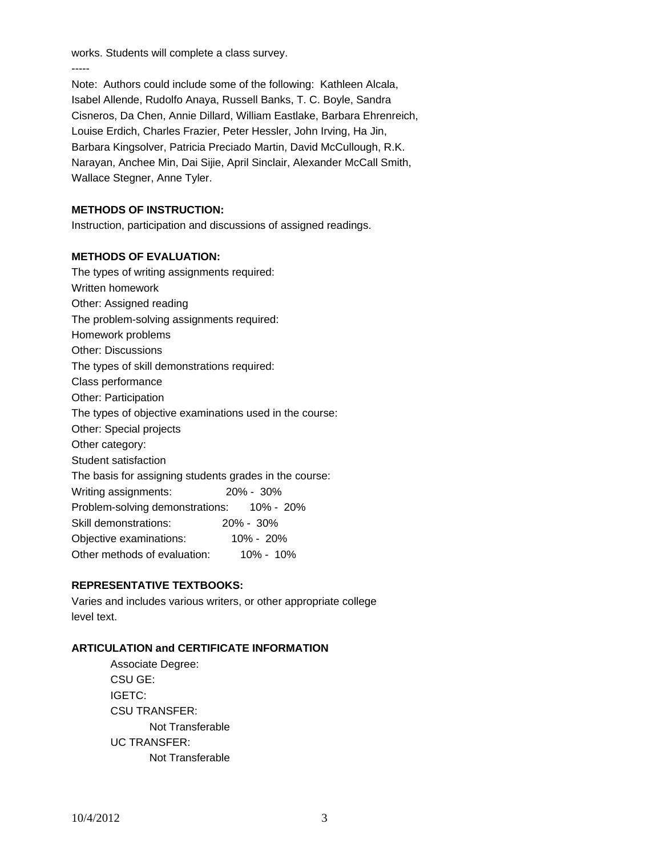works. Students will complete a class survey.

-----

Note: Authors could include some of the following: Kathleen Alcala, Isabel Allende, Rudolfo Anaya, Russell Banks, T. C. Boyle, Sandra Cisneros, Da Chen, Annie Dillard, William Eastlake, Barbara Ehrenreich, Louise Erdich, Charles Frazier, Peter Hessler, John Irving, Ha Jin, Barbara Kingsolver, Patricia Preciado Martin, David McCullough, R.K. Narayan, Anchee Min, Dai Sijie, April Sinclair, Alexander McCall Smith, Wallace Stegner, Anne Tyler.

# **METHODS OF INSTRUCTION:**

Instruction, participation and discussions of assigned readings.

## **METHODS OF EVALUATION:**

The types of writing assignments required: Written homework Other: Assigned reading The problem-solving assignments required: Homework problems Other: Discussions The types of skill demonstrations required: Class performance Other: Participation The types of objective examinations used in the course: Other: Special projects Other category: Student satisfaction The basis for assigning students grades in the course: Writing assignments: 20% - 30% Problem-solving demonstrations: 10% - 20% Skill demonstrations: 20% - 30% Objective examinations: 10% - 20% Other methods of evaluation: 10% - 10%

# **REPRESENTATIVE TEXTBOOKS:**

Varies and includes various writers, or other appropriate college level text.

## **ARTICULATION and CERTIFICATE INFORMATION**

 Associate Degree: CSU GE: IGETC: CSU TRANSFER: Not Transferable UC TRANSFER: Not Transferable